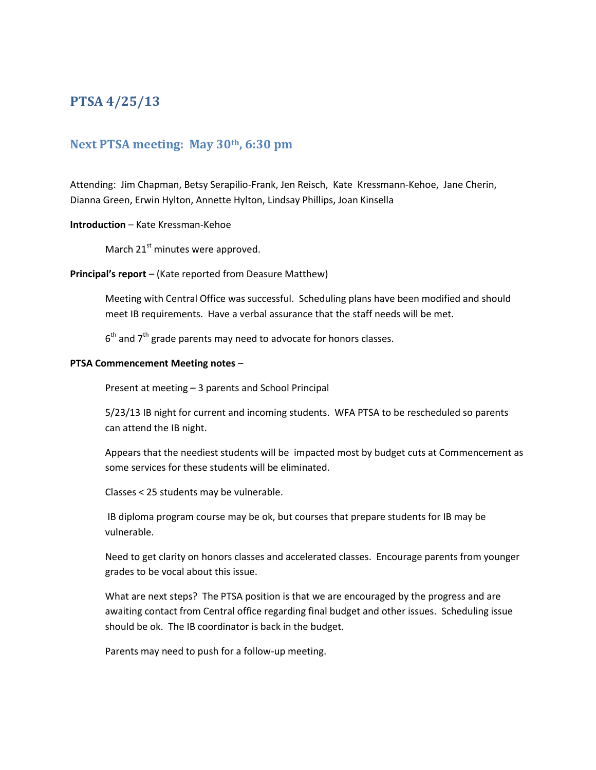# **PTSA 4/25/13**

# **Next PTSA meeting: May 30th, 6:30 pm**

Attending: Jim Chapman, Betsy Serapilio-Frank, Jen Reisch, Kate Kressmann-Kehoe, Jane Cherin, Dianna Green, Erwin Hylton, Annette Hylton, Lindsay Phillips, Joan Kinsella

# **Introduction** – Kate Kressman-Kehoe

March  $21^{st}$  minutes were approved.

# **Principal's report** – (Kate reported from Deasure Matthew)

Meeting with Central Office was successful. Scheduling plans have been modified and should meet IB requirements. Have a verbal assurance that the staff needs will be met.

 $6<sup>th</sup>$  and  $7<sup>th</sup>$  grade parents may need to advocate for honors classes.

# **PTSA Commencement Meeting notes** –

Present at meeting – 3 parents and School Principal

5/23/13 IB night for current and incoming students. WFA PTSA to be rescheduled so parents can attend the IB night.

Appears that the neediest students will be impacted most by budget cuts at Commencement as some services for these students will be eliminated.

Classes < 25 students may be vulnerable.

IB diploma program course may be ok, but courses that prepare students for IB may be vulnerable.

Need to get clarity on honors classes and accelerated classes. Encourage parents from younger grades to be vocal about this issue.

What are next steps? The PTSA position is that we are encouraged by the progress and are awaiting contact from Central office regarding final budget and other issues. Scheduling issue should be ok. The IB coordinator is back in the budget.

Parents may need to push for a follow-up meeting.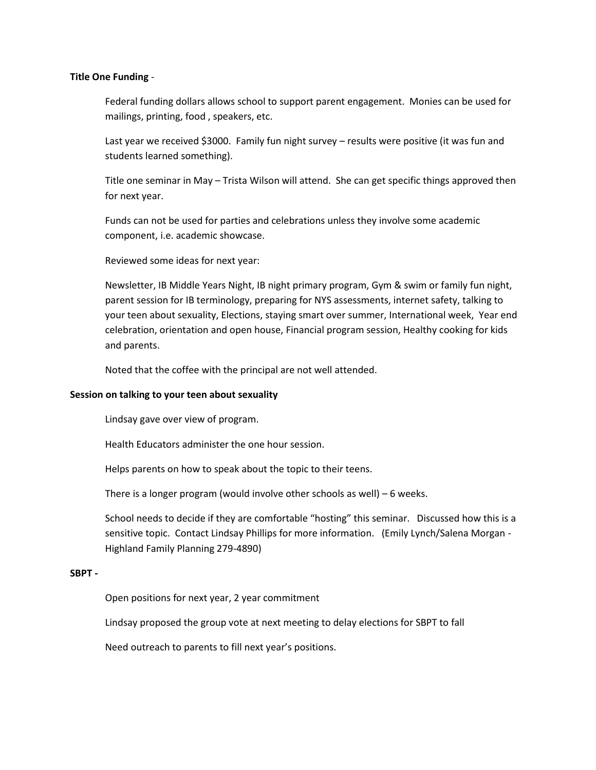#### **Title One Funding** -

Federal funding dollars allows school to support parent engagement. Monies can be used for mailings, printing, food , speakers, etc.

Last year we received \$3000. Family fun night survey – results were positive (it was fun and students learned something).

Title one seminar in May – Trista Wilson will attend. She can get specific things approved then for next year.

Funds can not be used for parties and celebrations unless they involve some academic component, i.e. academic showcase.

Reviewed some ideas for next year:

Newsletter, IB Middle Years Night, IB night primary program, Gym & swim or family fun night, parent session for IB terminology, preparing for NYS assessments, internet safety, talking to your teen about sexuality, Elections, staying smart over summer, International week, Year end celebration, orientation and open house, Financial program session, Healthy cooking for kids and parents.

Noted that the coffee with the principal are not well attended.

#### **Session on talking to your teen about sexuality**

Lindsay gave over view of program.

Health Educators administer the one hour session.

Helps parents on how to speak about the topic to their teens.

There is a longer program (would involve other schools as well) – 6 weeks.

School needs to decide if they are comfortable "hosting" this seminar. Discussed how this is a sensitive topic. Contact Lindsay Phillips for more information. (Emily Lynch/Salena Morgan - Highland Family Planning 279-4890)

#### **SBPT -**

Open positions for next year, 2 year commitment

Lindsay proposed the group vote at next meeting to delay elections for SBPT to fall

Need outreach to parents to fill next year's positions.